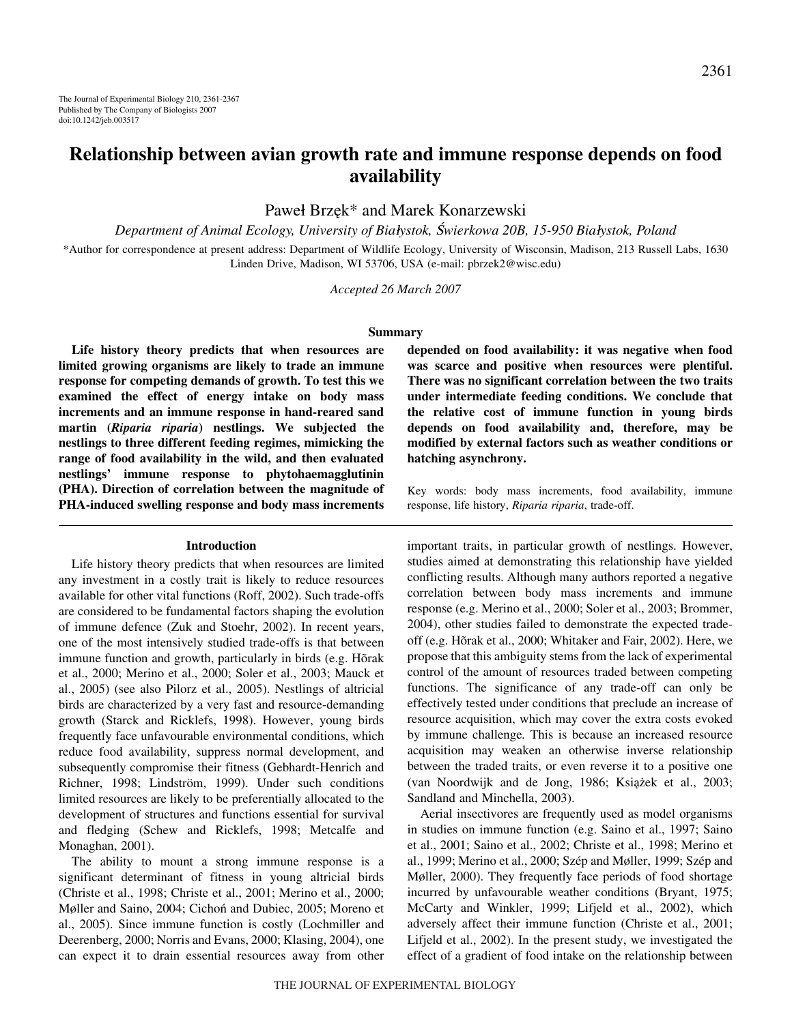# **Relationship between avian growth rate and immune response depends on food availability**

Paweł Brzęk\* and Marek Konarzewski

*Department of Animal Ecology, University of Bia*l*ystok,* S*wierkowa 20B, 15-950 Bia*l*ystok, Poland*

\*Author for correspondence at present address: Department of Wildlife Ecology, University of Wisconsin, Madison, 213 Russell Labs, 1630 Linden Drive, Madison, WI 53706, USA (e-mail: pbrzek2@wisc.edu)

*Accepted 26 March 2007*

#### **Summary**

**Life history theory predicts that when resources are limited growing organisms are likely to trade an immune response for competing demands of growth. To test this we examined the effect of energy intake on body mass increments and an immune response in hand-reared sand martin (***Riparia riparia***) nestlings. We subjected the nestlings to three different feeding regimes, mimicking the range of food availability in the wild, and then evaluated nestlings' immune response to phytohaemagglutinin (PHA). Direction of correlation between the magnitude of PHA-induced swelling response and body mass increments**

### **Introduction**

Life history theory predicts that when resources are limited any investment in a costly trait is likely to reduce resources available for other vital functions (Roff, 2002). Such trade-offs are considered to be fundamental factors shaping the evolution of immune defence (Zuk and Stoehr, 2002). In recent years, one of the most intensively studied trade-offs is that between immune function and growth, particularly in birds (e.g. Hõrak et al., 2000; Merino et al., 2000; Soler et al., 2003; Mauck et al., 2005) (see also Pilorz et al., 2005). Nestlings of altricial birds are characterized by a very fast and resource-demanding growth (Starck and Ricklefs, 1998). However, young birds frequently face unfavourable environmental conditions, which reduce food availability, suppress normal development, and subsequently compromise their fitness (Gebhardt-Henrich and Richner, 1998; Lindström, 1999). Under such conditions limited resources are likely to be preferentially allocated to the development of structures and functions essential for survival and fledging (Schew and Ricklefs, 1998; Metcalfe and Monaghan, 2001).

The ability to mount a strong immune response is a significant determinant of fitness in young altricial birds (Christe et al., 1998; Christe et al., 2001; Merino et al., 2000; Møller and Saino, 2004; Cichoń and Dubiec, 2005; Moreno et al., 2005). Since immune function is costly (Lochmiller and Deerenberg, 2000; Norris and Evans, 2000; Klasing, 2004), one can expect it to drain essential resources away from other **depended on food availability: it was negative when food was scarce and positive when resources were plentiful. There was no significant correlation between the two traits under intermediate feeding conditions. We conclude that the relative cost of immune function in young birds depends on food availability and, therefore, may be modified by external factors such as weather conditions or hatching asynchrony.**

Key words: body mass increments, food availability, immune response, life history, *Riparia riparia*, trade-off.

important traits, in particular growth of nestlings. However, studies aimed at demonstrating this relationship have yielded conflicting results. Although many authors reported a negative correlation between body mass increments and immune response (e.g. Merino et al., 2000; Soler et al., 2003; Brommer, 2004), other studies failed to demonstrate the expected tradeoff (e.g. Hõrak et al., 2000; Whitaker and Fair, 2002). Here, we propose that this ambiguity stems from the lack of experimental control of the amount of resources traded between competing functions. The significance of any trade-off can only be effectively tested under conditions that preclude an increase of resource acquisition, which may cover the extra costs evoked by immune challenge*.* This is because an increased resource acquisition may weaken an otherwise inverse relationship between the traded traits, or even reverse it to a positive one (van Noordwijk and de Jong, 1986; Książek et al., 2003; Sandland and Minchella, 2003).

Aerial insectivores are frequently used as model organisms in studies on immune function (e.g. Saino et al., 1997; Saino et al., 2001; Saino et al., 2002; Christe et al., 1998; Merino et al., 1999; Merino et al., 2000; Szép and Møller, 1999; Szép and Møller, 2000). They frequently face periods of food shortage incurred by unfavourable weather conditions (Bryant, 1975; McCarty and Winkler, 1999; Lifjeld et al., 2002), which adversely affect their immune function (Christe et al., 2001; Lifjeld et al., 2002). In the present study, we investigated the effect of a gradient of food intake on the relationship between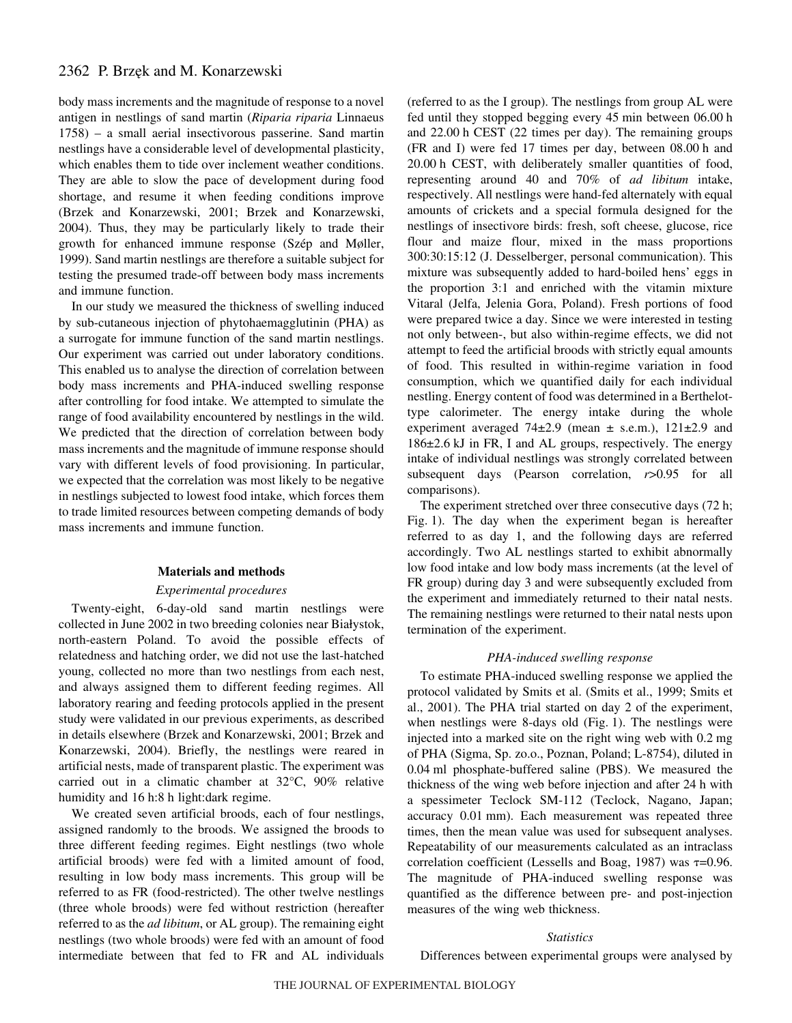## 2362 P. Brzęk and M. Konarzewski

body mass increments and the magnitude of response to a novel antigen in nestlings of sand martin (*Riparia riparia* Linnaeus 1758) – a small aerial insectivorous passerine. Sand martin nestlings have a considerable level of developmental plasticity, which enables them to tide over inclement weather conditions. They are able to slow the pace of development during food shortage, and resume it when feeding conditions improve (Brzek and Konarzewski, 2001; Brzek and Konarzewski, 2004). Thus, they may be particularly likely to trade their growth for enhanced immune response (Szép and Møller, 1999). Sand martin nestlings are therefore a suitable subject for testing the presumed trade-off between body mass increments and immune function.

In our study we measured the thickness of swelling induced by sub-cutaneous injection of phytohaemagglutinin (PHA) as a surrogate for immune function of the sand martin nestlings. Our experiment was carried out under laboratory conditions. This enabled us to analyse the direction of correlation between body mass increments and PHA-induced swelling response after controlling for food intake. We attempted to simulate the range of food availability encountered by nestlings in the wild. We predicted that the direction of correlation between body mass increments and the magnitude of immune response should vary with different levels of food provisioning. In particular, we expected that the correlation was most likely to be negative in nestlings subjected to lowest food intake, which forces them to trade limited resources between competing demands of body mass increments and immune function.

### **Materials and methods**

### *Experimental procedures*

Twenty-eight, 6-day-old sand martin nestlings were collected in June 2002 in two breeding colonies near Bialystok, north-eastern Poland. To avoid the possible effects of relatedness and hatching order, we did not use the last-hatched young, collected no more than two nestlings from each nest, and always assigned them to different feeding regimes. All laboratory rearing and feeding protocols applied in the present study were validated in our previous experiments, as described in details elsewhere (Brzek and Konarzewski, 2001; Brzek and Konarzewski, 2004). Briefly, the nestlings were reared in artificial nests, made of transparent plastic. The experiment was carried out in a climatic chamber at 32°C, 90% relative humidity and 16 h:8 h light:dark regime.

We created seven artificial broods, each of four nestlings, assigned randomly to the broods. We assigned the broods to three different feeding regimes. Eight nestlings (two whole artificial broods) were fed with a limited amount of food, resulting in low body mass increments. This group will be referred to as FR (food-restricted). The other twelve nestlings (three whole broods) were fed without restriction (hereafter referred to as the *ad libitum*, or AL group). The remaining eight nestlings (two whole broods) were fed with an amount of food intermediate between that fed to FR and AL individuals (referred to as the I group). The nestlings from group AL were fed until they stopped begging every 45 min between 06.00 h and  $22.00 h$  CEST (22 times per day). The remaining groups  $(FR \text{ and } I)$  were fed 17 times per day, between 08.00 h and 20.00 h CEST, with deliberately smaller quantities of food, representing around 40 and 70% of *ad libitum* intake, respectively. All nestlings were hand-fed alternately with equal amounts of crickets and a special formula designed for the nestlings of insectivore birds: fresh, soft cheese, glucose, rice flour and maize flour, mixed in the mass proportions 300:30:15:12 (J. Desselberger, personal communication). This mixture was subsequently added to hard-boiled hens' eggs in the proportion 3:1 and enriched with the vitamin mixture Vitaral (Jelfa, Jelenia Gora, Poland). Fresh portions of food were prepared twice a day. Since we were interested in testing not only between-, but also within-regime effects, we did not attempt to feed the artificial broods with strictly equal amounts of food. This resulted in within-regime variation in food consumption, which we quantified daily for each individual nestling. Energy content of food was determined in a Berthelottype calorimeter. The energy intake during the whole experiment averaged  $74\pm2.9$  (mean  $\pm$  s.e.m.),  $121\pm2.9$  and 186±2.6·kJ in FR, I and AL groups, respectively. The energy intake of individual nestlings was strongly correlated between subsequent days (Pearson correlation, *r*>0.95 for all comparisons).

The experiment stretched over three consecutive days (72 h; Fig. 1). The day when the experiment began is hereafter referred to as day 1, and the following days are referred accordingly. Two AL nestlings started to exhibit abnormally low food intake and low body mass increments (at the level of FR group) during day 3 and were subsequently excluded from the experiment and immediately returned to their natal nests. The remaining nestlings were returned to their natal nests upon termination of the experiment.

### *PHA-induced swelling response*

To estimate PHA-induced swelling response we applied the protocol validated by Smits et al. (Smits et al., 1999; Smits et al., 2001). The PHA trial started on day 2 of the experiment, when nestlings were 8-days old  $(Fig. 1)$ . The nestlings were injected into a marked site on the right wing web with  $0.2 \text{ mg}$ of PHA (Sigma, Sp. zo.o., Poznan, Poland; L-8754), diluted in 0.04 ml phosphate-buffered saline (PBS). We measured the thickness of the wing web before injection and after 24 h with a spessimeter Teclock SM-112 (Teclock, Nagano, Japan; accuracy 0.01 mm). Each measurement was repeated three times, then the mean value was used for subsequent analyses. Repeatability of our measurements calculated as an intraclass correlation coefficient (Lessells and Boag, 1987) was  $\tau$ =0.96. The magnitude of PHA-induced swelling response was quantified as the difference between pre- and post-injection measures of the wing web thickness.

#### *Statistics*

Differences between experimental groups were analysed by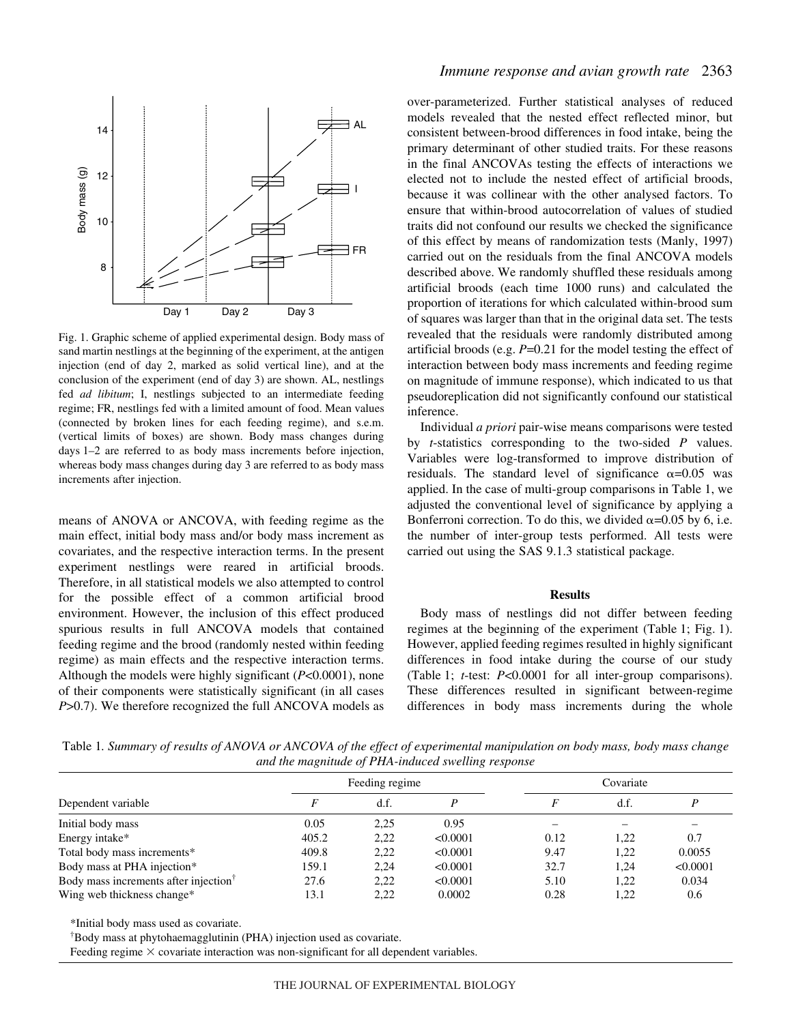

Fig. 1. Graphic scheme of applied experimental design. Body mass of sand martin nestlings at the beginning of the experiment, at the antigen injection (end of day 2, marked as solid vertical line), and at the conclusion of the experiment (end of day 3) are shown. AL, nestlings fed *ad libitum*; I, nestlings subjected to an intermediate feeding regime; FR, nestlings fed with a limited amount of food. Mean values (connected by broken lines for each feeding regime), and s.e.m. (vertical limits of boxes) are shown. Body mass changes during days 1–2 are referred to as body mass increments before injection, whereas body mass changes during day 3 are referred to as body mass increments after injection.

means of ANOVA or ANCOVA, with feeding regime as the main effect, initial body mass and/or body mass increment as covariates, and the respective interaction terms. In the present experiment nestlings were reared in artificial broods. Therefore, in all statistical models we also attempted to control for the possible effect of a common artificial brood environment. However, the inclusion of this effect produced spurious results in full ANCOVA models that contained feeding regime and the brood (randomly nested within feeding regime) as main effects and the respective interaction terms. Although the models were highly significant (*P*<0.0001), none of their components were statistically significant (in all cases *P*>0.7). We therefore recognized the full ANCOVA models as

### *Immune response and avian growth rate* 2363

over-parameterized. Further statistical analyses of reduced models revealed that the nested effect reflected minor, but consistent between-brood differences in food intake, being the primary determinant of other studied traits. For these reasons in the final ANCOVAs testing the effects of interactions we elected not to include the nested effect of artificial broods, because it was collinear with the other analysed factors. To ensure that within-brood autocorrelation of values of studied traits did not confound our results we checked the significance of this effect by means of randomization tests (Manly, 1997) carried out on the residuals from the final ANCOVA models described above. We randomly shuffled these residuals among artificial broods (each time 1000 runs) and calculated the proportion of iterations for which calculated within-brood sum of squares was larger than that in the original data set. The tests revealed that the residuals were randomly distributed among artificial broods (e.g. *P*=0.21 for the model testing the effect of interaction between body mass increments and feeding regime on magnitude of immune response), which indicated to us that pseudoreplication did not significantly confound our statistical inference.

Individual *a priori* pair-wise means comparisons were tested by *t*-statistics corresponding to the two-sided *P* values. Variables were log-transformed to improve distribution of residuals. The standard level of significance  $\alpha$ =0.05 was applied. In the case of multi-group comparisons in Table 1, we adjusted the conventional level of significance by applying a Bonferroni correction. To do this, we divided  $\alpha$ =0.05 by 6, i.e. the number of inter-group tests performed. All tests were carried out using the SAS 9.1.3 statistical package.

#### **Results**

Body mass of nestlings did not differ between feeding regimes at the beginning of the experiment (Table 1; Fig. 1). However, applied feeding regimes resulted in highly significant differences in food intake during the course of our study (Table 1; *t*-test: *P*<0.0001 for all inter-group comparisons). These differences resulted in significant between-regime differences in body mass increments during the whole

Table 1*. Summary of results of ANOVA or ANCOVA of the effect of experimental manipulation on body mass, body mass change and the magnitude of PHA-induced swelling response*

| Dependent variable                                | Feeding regime |      |          | Covariate |      |          |
|---------------------------------------------------|----------------|------|----------|-----------|------|----------|
|                                                   |                | d.f. |          |           | d.f. |          |
| Initial body mass                                 | 0.05           | 2,25 | 0.95     |           |      |          |
| Energy intake*                                    | 405.2          | 2,22 | < 0.0001 | 0.12      | 1.22 | 0.7      |
| Total body mass increments*                       | 409.8          | 2,22 | < 0.0001 | 9.47      | 1.22 | 0.0055   |
| Body mass at PHA injection*                       | 159.1          | 2.24 | < 0.0001 | 32.7      | 1.24 | < 0.0001 |
| Body mass increments after injection <sup>†</sup> | 27.6           | 2.22 | < 0.0001 | 5.10      | 1.22 | 0.034    |
| Wing web thickness change*                        | 13.1           | 2.22 | 0.0002   | 0.28      | 1,22 | 0.6      |
|                                                   |                |      |          |           |      |          |

\*Initial body mass used as covariate.

† Body mass at phytohaemagglutinin (PHA) injection used as covariate.

Feeding regime  $\times$  covariate interaction was non-significant for all dependent variables.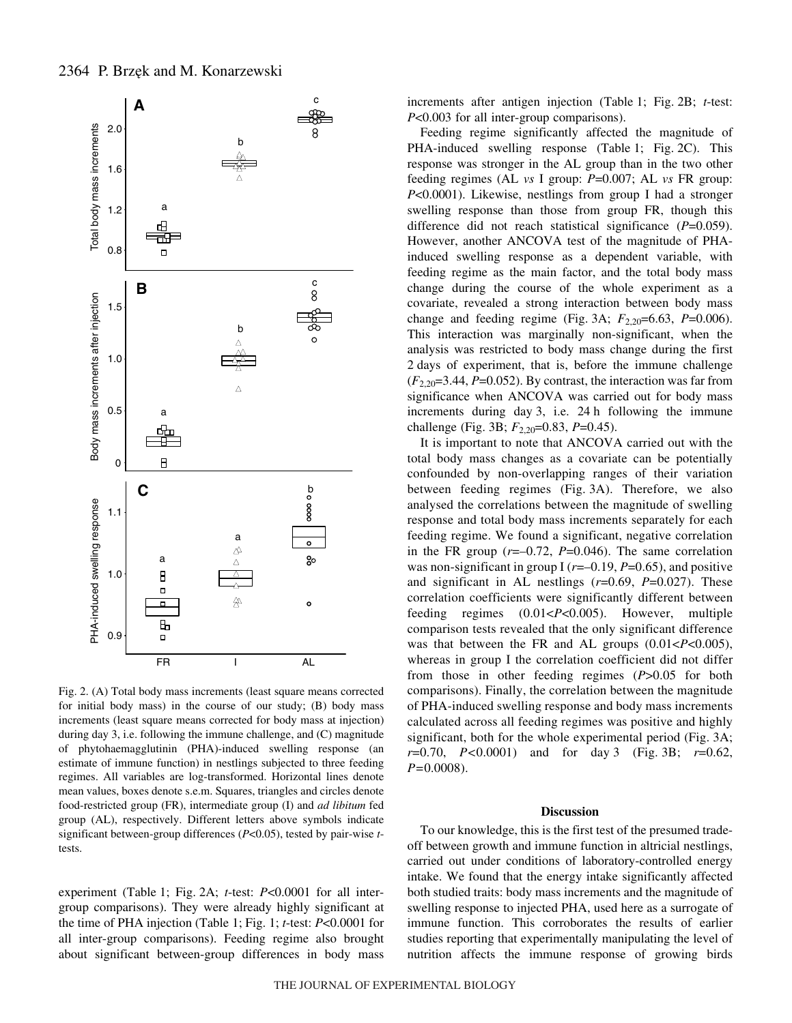

Fig. 2. (A) Total body mass increments (least square means corrected for initial body mass) in the course of our study; (B) body mass increments (least square means corrected for body mass at injection) during day 3, i.e. following the immune challenge, and (C) magnitude of phytohaemagglutinin (PHA)-induced swelling response (an estimate of immune function) in nestlings subjected to three feeding regimes. All variables are log-transformed. Horizontal lines denote mean values, boxes denote s.e.m. Squares, triangles and circles denote food-restricted group (FR), intermediate group (I) and *ad libitum* fed group (AL), respectively. Different letters above symbols indicate significant between-group differences (*P*<0.05), tested by pair-wise *t*tests.

experiment (Table 1; Fig. 2A; *t*-test: *P*<0.0001 for all intergroup comparisons). They were already highly significant at the time of PHA injection (Table 1; Fig. 1; *t*-test: *P*<0.0001 for all inter-group comparisons). Feeding regime also brought about significant between-group differences in body mass increments after antigen injection (Table 1; Fig. 2B; *t*-test: *P*<0.003 for all inter-group comparisons).

Feeding regime significantly affected the magnitude of PHA-induced swelling response (Table 1; Fig. 2C). This response was stronger in the AL group than in the two other feeding regimes (AL *vs* I group: *P*=0.007; AL *vs* FR group: *P*<0.0001). Likewise, nestlings from group I had a stronger swelling response than those from group FR, though this difference did not reach statistical significance (*P*=0.059). However, another ANCOVA test of the magnitude of PHAinduced swelling response as a dependent variable, with feeding regime as the main factor, and the total body mass change during the course of the whole experiment as a covariate, revealed a strong interaction between body mass change and feeding regime (Fig. 3A;  $F_{2,20}$ =6.63, *P*=0.006). This interaction was marginally non-significant, when the analysis was restricted to body mass change during the first 2 days of experiment, that is, before the immune challenge  $(F_{2,20}=3.44, P=0.052)$ . By contrast, the interaction was far from significance when ANCOVA was carried out for body mass increments during day  $3$ , i.e.  $24 \text{ h}$  following the immune challenge (Fig. 3B;  $F_{2,20}=0.83$ ,  $P=0.45$ ).

It is important to note that ANCOVA carried out with the total body mass changes as a covariate can be potentially confounded by non-overlapping ranges of their variation between feeding regimes (Fig. 3A). Therefore, we also analysed the correlations between the magnitude of swelling response and total body mass increments separately for each feeding regime. We found a significant, negative correlation in the FR group (*r*=–0.72, *P*=0.046). The same correlation was non-significant in group I ( $r=-0.19$ ,  $P=0.65$ ), and positive and significant in AL nestlings (*r*=0.69, *P*=0.027). These correlation coefficients were significantly different between feeding regimes (0.01<*P*<0.005). However, multiple comparison tests revealed that the only significant difference was that between the FR and AL groups (0.01<*P*<0.005), whereas in group I the correlation coefficient did not differ from those in other feeding regimes (*P*>0.05 for both comparisons). Finally, the correlation between the magnitude of PHA-induced swelling response and body mass increments calculated across all feeding regimes was positive and highly significant, both for the whole experimental period (Fig. 3A;  $r=0.70$ ,  $P<0.0001$ ) and for day 3 (Fig. 3B;  $r=0.62$ , *P=*0.0008).

#### **Discussion**

To our knowledge, this is the first test of the presumed tradeoff between growth and immune function in altricial nestlings, carried out under conditions of laboratory-controlled energy intake. We found that the energy intake significantly affected both studied traits: body mass increments and the magnitude of swelling response to injected PHA, used here as a surrogate of immune function. This corroborates the results of earlier studies reporting that experimentally manipulating the level of nutrition affects the immune response of growing birds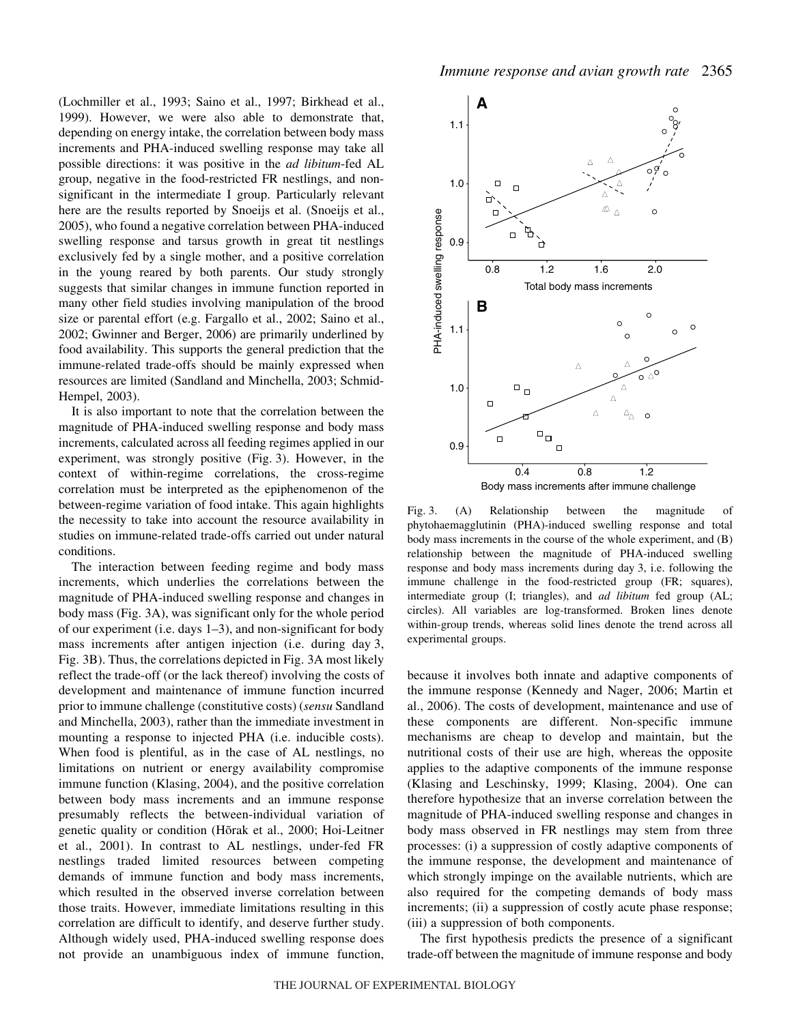(Lochmiller et al., 1993; Saino et al., 1997; Birkhead et al., 1999). However, we were also able to demonstrate that, depending on energy intake, the correlation between body mass increments and PHA-induced swelling response may take all possible directions: it was positive in the *ad libitum*-fed AL group, negative in the food-restricted FR nestlings, and nonsignificant in the intermediate I group. Particularly relevant here are the results reported by Snoeijs et al. (Snoeijs et al., 2005), who found a negative correlation between PHA-induced swelling response and tarsus growth in great tit nestlings exclusively fed by a single mother, and a positive correlation in the young reared by both parents. Our study strongly suggests that similar changes in immune function reported in many other field studies involving manipulation of the brood size or parental effort (e.g. Fargallo et al., 2002; Saino et al., 2002; Gwinner and Berger, 2006) are primarily underlined by food availability. This supports the general prediction that the immune-related trade-offs should be mainly expressed when resources are limited (Sandland and Minchella, 2003; Schmid-Hempel, 2003).

It is also important to note that the correlation between the magnitude of PHA-induced swelling response and body mass increments, calculated across all feeding regimes applied in our experiment, was strongly positive (Fig. 3). However, in the context of within-regime correlations, the cross-regime correlation must be interpreted as the epiphenomenon of the between-regime variation of food intake. This again highlights the necessity to take into account the resource availability in studies on immune-related trade-offs carried out under natural conditions.

The interaction between feeding regime and body mass increments, which underlies the correlations between the magnitude of PHA-induced swelling response and changes in body mass (Fig. 3A), was significant only for the whole period of our experiment (i.e. days·1–3), and non-significant for body mass increments after antigen injection (i.e. during day 3, Fig. 3B). Thus, the correlations depicted in Fig. 3A most likely reflect the trade-off (or the lack thereof) involving the costs of development and maintenance of immune function incurred prior to immune challenge (constitutive costs) (*sensu* Sandland and Minchella, 2003), rather than the immediate investment in mounting a response to injected PHA (i.e. inducible costs). When food is plentiful, as in the case of AL nestlings, no limitations on nutrient or energy availability compromise immune function (Klasing, 2004), and the positive correlation between body mass increments and an immune response presumably reflects the between-individual variation of genetic quality or condition (Hõrak et al., 2000; Hoi-Leitner et al., 2001). In contrast to AL nestlings, under-fed FR nestlings traded limited resources between competing demands of immune function and body mass increments, which resulted in the observed inverse correlation between those traits. However, immediate limitations resulting in this correlation are difficult to identify, and deserve further study. Although widely used, PHA-induced swelling response does not provide an unambiguous index of immune function,



Fig. 3. (A) Relationship between the magnitude of phytohaemagglutinin (PHA)-induced swelling response and total body mass increments in the course of the whole experiment, and (B) relationship between the magnitude of PHA-induced swelling response and body mass increments during day 3, i.e. following the immune challenge in the food-restricted group (FR; squares), intermediate group (I; triangles), and *ad libitum* fed group (AL; circles). All variables are log-transformed. Broken lines denote within-group trends, whereas solid lines denote the trend across all experimental groups.

because it involves both innate and adaptive components of the immune response (Kennedy and Nager, 2006; Martin et al., 2006). The costs of development, maintenance and use of these components are different. Non-specific immune mechanisms are cheap to develop and maintain, but the nutritional costs of their use are high, whereas the opposite applies to the adaptive components of the immune response (Klasing and Leschinsky, 1999; Klasing, 2004). One can therefore hypothesize that an inverse correlation between the magnitude of PHA-induced swelling response and changes in body mass observed in FR nestlings may stem from three processes: (i) a suppression of costly adaptive components of the immune response, the development and maintenance of which strongly impinge on the available nutrients, which are also required for the competing demands of body mass increments; (ii) a suppression of costly acute phase response; (iii) a suppression of both components.

The first hypothesis predicts the presence of a significant trade-off between the magnitude of immune response and body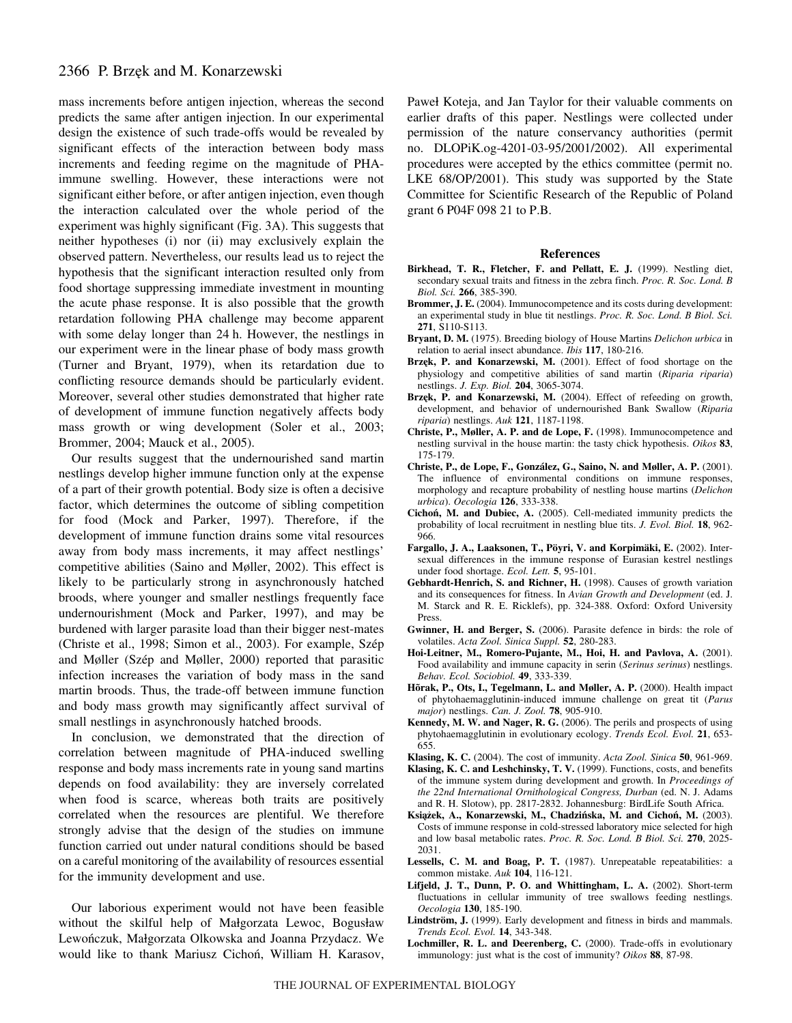## 2366 P. Brzęk and M. Konarzewski

mass increments before antigen injection, whereas the second predicts the same after antigen injection. In our experimental design the existence of such trade-offs would be revealed by significant effects of the interaction between body mass increments and feeding regime on the magnitude of PHAimmune swelling. However, these interactions were not significant either before, or after antigen injection, even though the interaction calculated over the whole period of the experiment was highly significant (Fig. 3A). This suggests that neither hypotheses (i) nor (ii) may exclusively explain the observed pattern. Nevertheless, our results lead us to reject the hypothesis that the significant interaction resulted only from food shortage suppressing immediate investment in mounting the acute phase response. It is also possible that the growth retardation following PHA challenge may become apparent with some delay longer than 24 h. However, the nestlings in our experiment were in the linear phase of body mass growth (Turner and Bryant, 1979), when its retardation due to conflicting resource demands should be particularly evident. Moreover, several other studies demonstrated that higher rate of development of immune function negatively affects body mass growth or wing development (Soler et al., 2003; Brommer, 2004; Mauck et al., 2005).

Our results suggest that the undernourished sand martin nestlings develop higher immune function only at the expense of a part of their growth potential. Body size is often a decisive factor, which determines the outcome of sibling competition for food (Mock and Parker, 1997). Therefore, if the development of immune function drains some vital resources away from body mass increments, it may affect nestlings' competitive abilities (Saino and Møller, 2002). This effect is likely to be particularly strong in asynchronously hatched broods, where younger and smaller nestlings frequently face undernourishment (Mock and Parker, 1997), and may be burdened with larger parasite load than their bigger nest-mates (Christe et al., 1998; Simon et al., 2003). For example, Szép and Møller (Szép and Møller, 2000) reported that parasitic infection increases the variation of body mass in the sand martin broods. Thus, the trade-off between immune function and body mass growth may significantly affect survival of small nestlings in asynchronously hatched broods.

In conclusion, we demonstrated that the direction of correlation between magnitude of PHA-induced swelling response and body mass increments rate in young sand martins depends on food availability: they are inversely correlated when food is scarce, whereas both traits are positively correlated when the resources are plentiful. We therefore strongly advise that the design of the studies on immune function carried out under natural conditions should be based on a careful monitoring of the availability of resources essential for the immunity development and use.

Our laborious experiment would not have been feasible without the skilful help of Malgorzata Lewoc, Boguslaw Lewończuk, Małgorzata Olkowska and Joanna Przydacz. We would like to thank Mariusz Cichoń, William H. Karasov, Pawel Koteja, and Jan Taylor for their valuable comments on earlier drafts of this paper. Nestlings were collected under permission of the nature conservancy authorities (permit no. DLOPiK.og-4201-03-95/2001/2002). All experimental procedures were accepted by the ethics committee (permit no. LKE 68/OP/2001). This study was supported by the State Committee for Scientific Research of the Republic of Poland grant 6 P04F 098 21 to P.B.

#### **References**

- **Birkhead, T. R., Fletcher, F. and Pellatt, E. J.** (1999). Nestling diet, secondary sexual traits and fitness in the zebra finch. *Proc. R. Soc. Lond. B Biol. Sci.* **266**, 385-390.
- **Brommer, J. E.** (2004). Immunocompetence and its costs during development: an experimental study in blue tit nestlings. *Proc. R. Soc. Lond. B Biol. Sci.* **271**, S110-S113.
- **Bryant, D. M.** (1975). Breeding biology of House Martins *Delichon urbica* in relation to aerial insect abundance. *Ibis* **117**, 180-216.
- Brzek, P. and Konarzewski, M. (2001). Effect of food shortage on the physiology and competitive abilities of sand martin (*Riparia riparia*) nestlings. *J. Exp. Biol.* **204**, 3065-3074.
- Brzęk, P. and Konarzewski, M. (2004). Effect of refeeding on growth, development, and behavior of undernourished Bank Swallow (*Riparia riparia*) nestlings. *Auk* **121**, 1187-1198.
- **Christe, P., Møller, A. P. and de Lope, F.** (1998). Immunocompetence and nestling survival in the house martin: the tasty chick hypothesis. *Oikos* **83**, 175-179.
- **Christe, P., de Lope, F., González, G., Saino, N. and Møller, A. P.** (2001). The influence of environmental conditions on immune responses, morphology and recapture probability of nestling house martins (*Delichon urbica*). *Oecologia* **126**, 333-338.
- **Cichon, M. and Dubiec, A.** (2005). Cell-mediated immunity predicts the probability of local recruitment in nestling blue tits. *J. Evol. Biol.* **18**, 962- 966.
- **Fargallo, J. A., Laaksonen, T., Pöyri, V. and Korpimäki, E.** (2002). Intersexual differences in the immune response of Eurasian kestrel nestlings under food shortage. *Ecol. Lett.* **5**, 95-101.
- **Gebhardt-Henrich, S. and Richner, H.** (1998). Causes of growth variation and its consequences for fitness. In *Avian Growth and Development* (ed. J. M. Starck and R. E. Ricklefs), pp. 324-388. Oxford: Oxford University Press.
- **Gwinner, H. and Berger, S.** (2006). Parasite defence in birds: the role of volatiles. *Acta Zool. Sinica Suppl.* **52**, 280-283.
- **Hoi-Leitner, M., Romero-Pujante, M., Hoi, H. and Pavlova, A.** (2001). Food availability and immune capacity in serin (*Serinus serinus*) nestlings. *Behav. Ecol. Sociobiol.* **49**, 333-339.
- **Hõrak, P., Ots, I., Tegelmann, L. and Møller, A. P.** (2000). Health impact of phytohaemagglutinin-induced immune challenge on great tit (*Parus major*) nestlings. *Can. J. Zool.* **78**, 905-910.
- **Kennedy, M. W. and Nager, R. G.** (2006). The perils and prospects of using phytohaemagglutinin in evolutionary ecology. *Trends Ecol. Evol.* **21**, 653- 655.
- **Klasing, K. C.** (2004). The cost of immunity. *Acta Zool. Sinica* **50**, 961-969.
- **Klasing, K. C. and Leshchinsky, T. V.** (1999). Functions, costs, and benefits of the immune system during development and growth. In *Proceedings of the 22nd International Ornithological Congress, Durban* (ed. N. J. Adams and R. H. Slotow), pp. 2817-2832. Johannesburg: BirdLife South Africa.
- **Ksia˛zek, A., Konarzewski, M., Chadzinska, M. and Cichon, M.** (2003). Costs of immune response in cold-stressed laboratory mice selected for high and low basal metabolic rates. *Proc. R. Soc. Lond. B Biol. Sci.* **270**, 2025- 2031.
- Lessells, C. M. and Boag, P. T. (1987). Unrepeatable repeatabilities: a common mistake. *Auk* **104**, 116-121.
- **Lifjeld, J. T., Dunn, P. O. and Whittingham, L. A.** (2002). Short-term fluctuations in cellular immunity of tree swallows feeding nestlings. *Oecologia* **130**, 185-190.
- **Lindström, J.** (1999). Early development and fitness in birds and mammals. *Trends Ecol. Evol.* **14**, 343-348.
- **Lochmiller, R. L. and Deerenberg, C.** (2000). Trade-offs in evolutionary immunology: just what is the cost of immunity? *Oikos* **88**, 87-98.